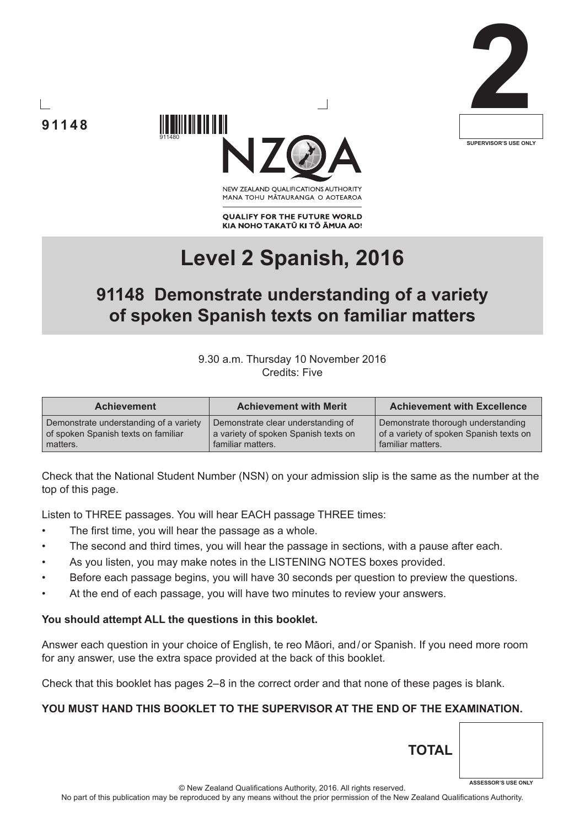





NEW ZEALAND OUALIFICATIONS AUTHORITY MANA TOHU MATAURANGA O AOTEAROA

**QUALIFY FOR THE FUTURE WORLD** KIA NOHO TAKATŪ KI TŌ ĀMUA AO!

# **Level 2 Spanish, 2016**

## **91148 Demonstrate understanding of a variety of spoken Spanish texts on familiar matters**

9.30 a.m. Thursday 10 November 2016 Credits: Five

| <b>Achievement</b>                     | <b>Achievement with Merit</b>        | <b>Achievement with Excellence</b>      |
|----------------------------------------|--------------------------------------|-----------------------------------------|
| Demonstrate understanding of a variety | Demonstrate clear understanding of   | Demonstrate thorough understanding      |
| of spoken Spanish texts on familiar    | a variety of spoken Spanish texts on | of a variety of spoken Spanish texts on |
| matters.                               | familiar matters.                    | familiar matters.                       |

Check that the National Student Number (NSN) on your admission slip is the same as the number at the top of this page.

Listen to THREE passages. You will hear EACH passage THREE times:

- The first time, you will hear the passage as a whole.
- The second and third times, you will hear the passage in sections, with a pause after each.
- As you listen, you may make notes in the LISTENING NOTES boxes provided.
- Before each passage begins, you will have 30 seconds per question to preview the questions.
- At the end of each passage, you will have two minutes to review your answers.

#### **You should attempt ALL the questions in this booklet.**

Answer each question in your choice of English, te reo Māori, and/or Spanish. If you need more room for any answer, use the extra space provided at the back of this booklet.

Check that this booklet has pages 2–8 in the correct order and that none of these pages is blank.

#### **YOU MUST HAND THIS BOOKLET TO THE SUPERVISOR AT THE END OF THE EXAMINATION.**

© New Zealand Qualifications Authority, 2016. All rights reserved. No part of this publication may be reproduced by any means without the prior permission of the New Zealand Qualifications Authority.

**TOTAL**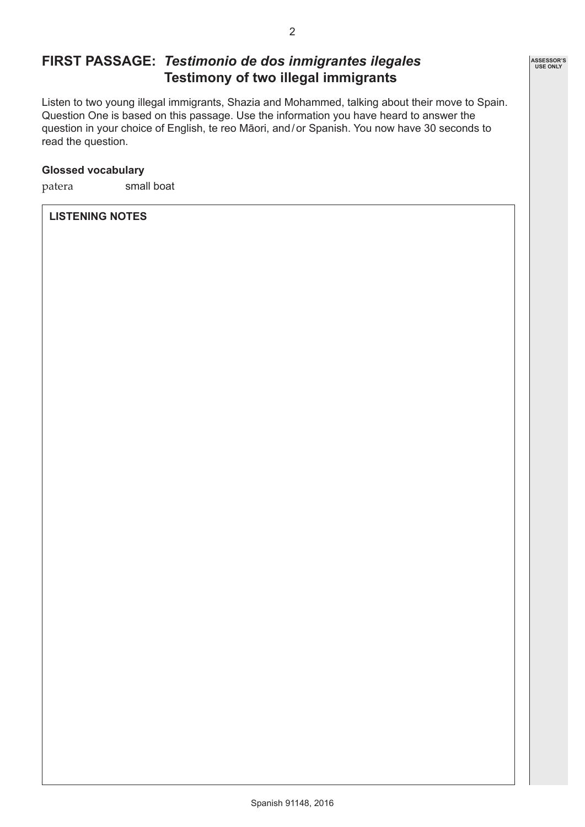## **FIRST PASSAGE:** *Testimonio de dos inmigrantes ilegales* **Testimony of two illegal immigrants**

Listen to two young illegal immigrants, Shazia and Mohammed, talking about their move to Spain. Question One is based on this passage. Use the information you have heard to answer the question in your choice of English, te reo Māori, and/or Spanish. You now have 30 seconds to read the question.

#### **Glossed vocabulary**

patera small boat

#### **LISTENING NOTES**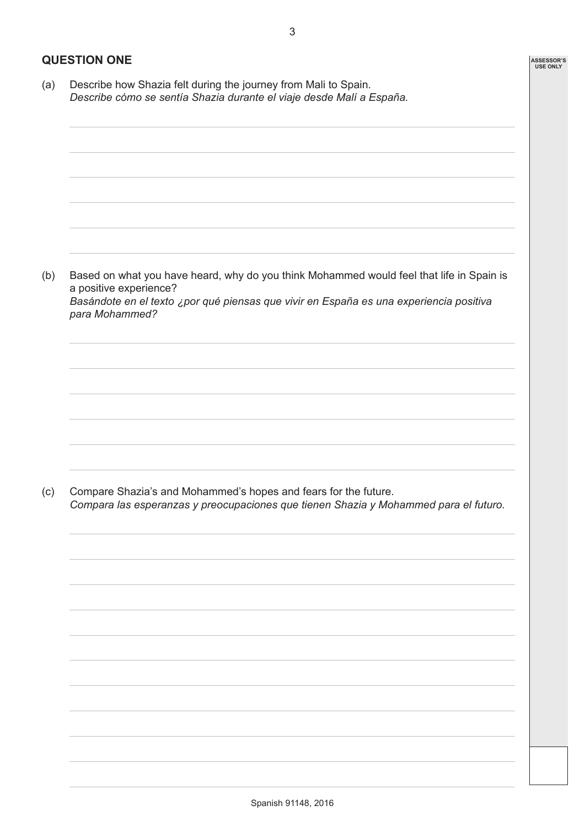**ASSESSOR'S USE ONLY**

#### **QUESTION ONE**

(a) Describe how Shazia felt during the journey from Mali to Spain. *Describe cómo se sentía Shazia durante el viaje desde Malí a España.* (b) Based on what you have heard, why do you think Mohammed would feel that life in Spain is a positive experience? *Basándote en el texto ¿por qué piensas que vivir en España es una experiencia positiva para Mohammed?* (c) Compare Shazia's and Mohammed's hopes and fears for the future. *Compara las esperanzas y preocupaciones que tienen Shazia y Mohammed para el futuro.*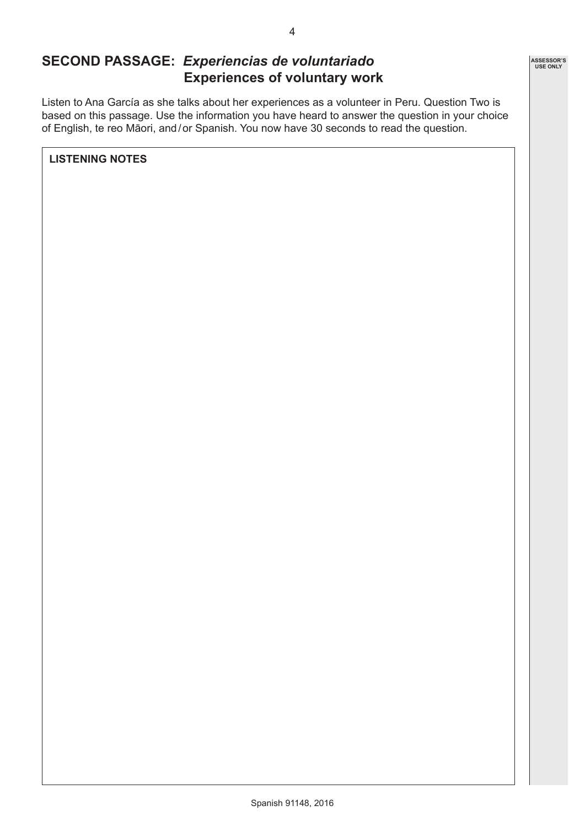## **SECOND PASSAGE:** *Experiencias de voluntariado* **Experiences of voluntary work**

Listen to Ana García as she talks about her experiences as a volunteer in Peru. Question Two is based on this passage. Use the information you have heard to answer the question in your choice of English, te reo Māori, and/or Spanish. You now have 30 seconds to read the question.

**LISTENING NOTES**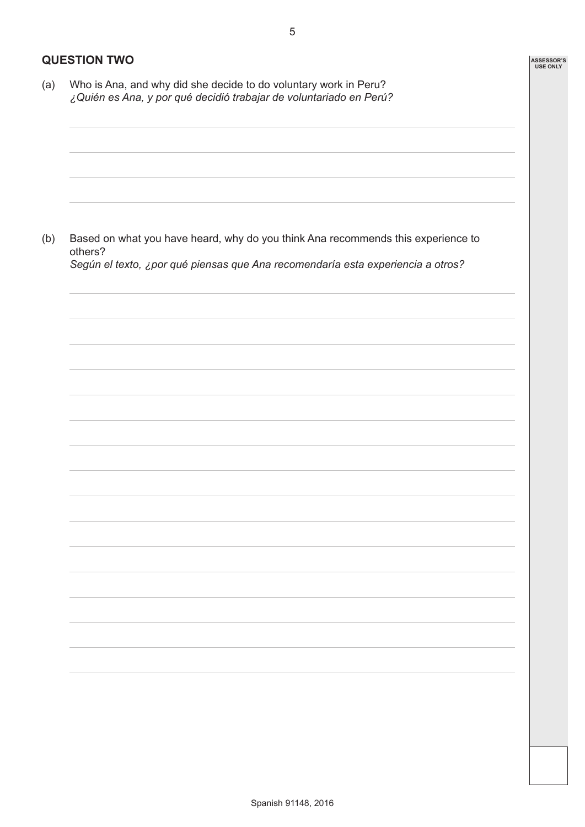#### **QUESTION TWO**

(a) Who is Ana, and why did she decide to do voluntary work in Peru? *¿Quién es Ana, y por qué decidió trabajar de voluntariado en Perú?*

(b) Based on what you have heard, why do you think Ana recommends this experience to others? *Según el texto, ¿por qué piensas que Ana recomendaría esta experiencia a otros?*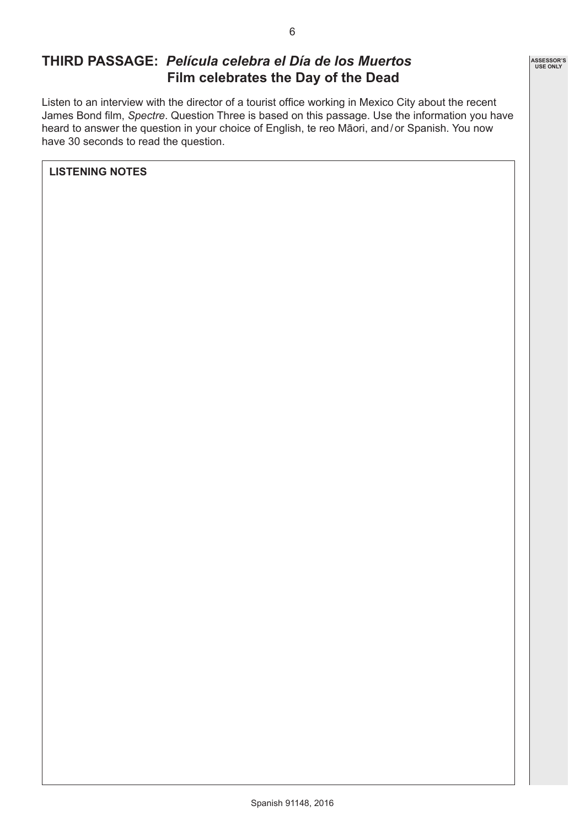### **THIRD PASSAGE:** *Película celebra el Día de los Muertos* **Film celebrates the Day of the Dead**

Listen to an interview with the director of a tourist office working in Mexico City about the recent James Bond film, *Spectre*. Question Three is based on this passage. Use the information you have heard to answer the question in your choice of English, te reo Māori, and/or Spanish. You now have 30 seconds to read the question.

**LISTENING NOTES**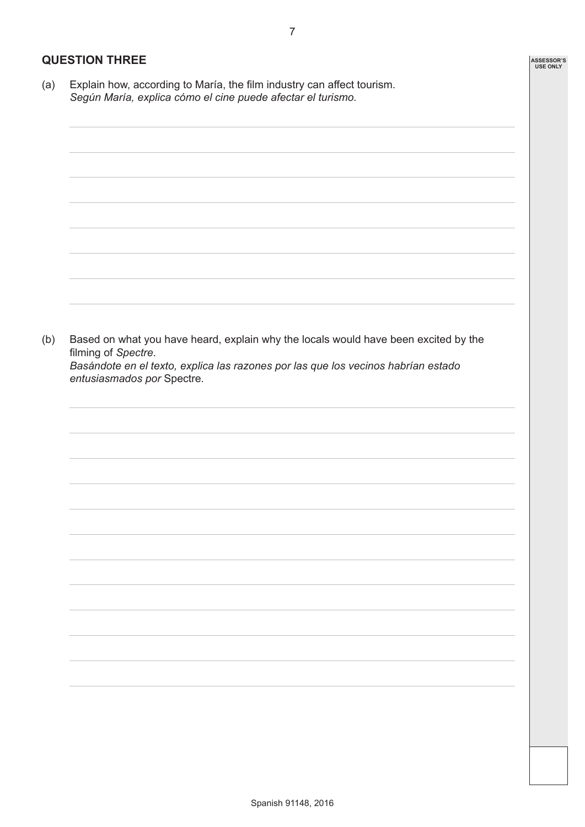#### **QUESTION THREE**

(a) Explain how, according to María, the film industry can affect tourism. *Según María, explica cómo el cine puede afectar el turismo.*

(b) Based on what you have heard, explain why the locals would have been excited by the filming of *Spectre*. *Basándote en el texto, explica las razones por las que los vecinos habrían estado entusiasmados por* Spectre*.*